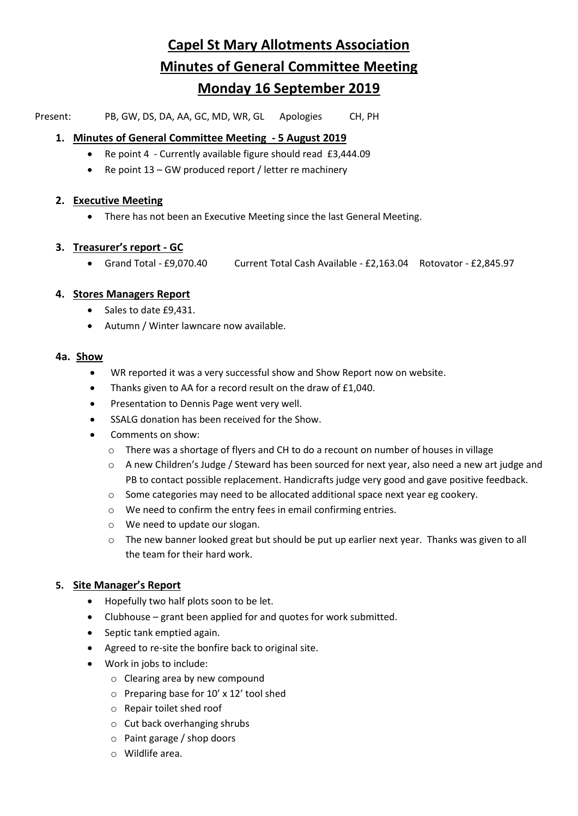# **Capel St Mary Allotments Association Minutes of General Committee Meeting Monday 16 September 2019**

Present: PB, GW, DS, DA, AA, GC, MD, WR, GL Apologies CH, PH

# **1. Minutes of General Committee Meeting - 5 August 2019**

- Re point 4 Currently available figure should read £3,444.09
- Re point 13 GW produced report / letter re machinery

#### **2. Executive Meeting**

• There has not been an Executive Meeting since the last General Meeting.

# **3. Treasurer's report - GC**

• Grand Total - £9,070.40 Current Total Cash Available - £2,163.04 Rotovator - £2,845.97

# **4. Stores Managers Report**

- Sales to date £9,431.
- Autumn / Winter lawncare now available.

#### **4a. Show**

- WR reported it was a very successful show and Show Report now on website.
- Thanks given to AA for a record result on the draw of £1,040.
- Presentation to Dennis Page went very well.
- SSALG donation has been received for the Show.
- Comments on show:
	- o There was a shortage of flyers and CH to do a recount on number of houses in village
	- o A new Children's Judge / Steward has been sourced for next year, also need a new art judge and PB to contact possible replacement. Handicrafts judge very good and gave positive feedback.
	- $\circ$  Some categories may need to be allocated additional space next year eg cookery.
	- o We need to confirm the entry fees in email confirming entries.
	- o We need to update our slogan.
	- $\circ$  The new banner looked great but should be put up earlier next year. Thanks was given to all the team for their hard work.

# **5. Site Manager's Report**

- Hopefully two half plots soon to be let.
- Clubhouse grant been applied for and quotes for work submitted.
- Septic tank emptied again.
- Agreed to re-site the bonfire back to original site.
- Work in jobs to include:
	- o Clearing area by new compound
	- o Preparing base for 10' x 12' tool shed
	- o Repair toilet shed roof
	- o Cut back overhanging shrubs
	- o Paint garage / shop doors
	- o Wildlife area.